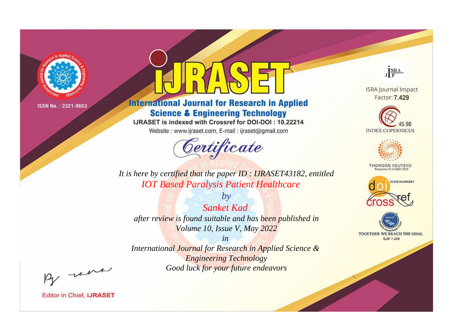

# **International Journal for Research in Applied Science & Engineering Technology**

IJRASET is indexed with Crossref for DOI-DOI: 10.22214

Website: www.ijraset.com, E-mail: ijraset@gmail.com



JERA

**ISRA Journal Impact** Factor: 7.429





**THOMSON REUTERS** 



TOGETHER WE REACH THE GOAL **SJIF 7.429** 

*It is here by certified that the paper ID : IJRASET43182, entitled IOT Based Paralysis Patient Healthcare*

*by Sanket Kad after review is found suitable and has been published in Volume 10, Issue V, May 2022*

*in* 

*International Journal for Research in Applied Science & Engineering Technology Good luck for your future endeavors*

By morn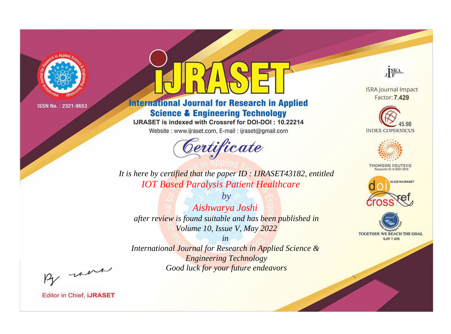

# **International Journal for Research in Applied Science & Engineering Technology**

IJRASET is indexed with Crossref for DOI-DOI: 10.22214

Website: www.ijraset.com, E-mail: ijraset@gmail.com



JERA

**ISRA Journal Impact** Factor: 7.429





**THOMSON REUTERS** 



TOGETHER WE REACH THE GOAL **SJIF 7.429** 

*It is here by certified that the paper ID : IJRASET43182, entitled IOT Based Paralysis Patient Healthcare*

*by Aishwarya Joshi after review is found suitable and has been published in Volume 10, Issue V, May 2022*

*in* 

*International Journal for Research in Applied Science & Engineering Technology Good luck for your future endeavors*

By morn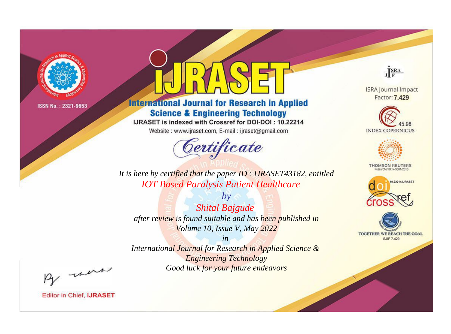

# **International Journal for Research in Applied Science & Engineering Technology**

IJRASET is indexed with Crossref for DOI-DOI: 10.22214

Website: www.ijraset.com, E-mail: ijraset@gmail.com



JERA

**ISRA Journal Impact** Factor: 7.429





**THOMSON REUTERS** 



TOGETHER WE REACH THE GOAL **SJIF 7.429** 

*It is here by certified that the paper ID : IJRASET43182, entitled IOT Based Paralysis Patient Healthcare*

*by Shital Bajgude after review is found suitable and has been published in Volume 10, Issue V, May 2022*

*in* 

*International Journal for Research in Applied Science & Engineering Technology Good luck for your future endeavors*

By morn